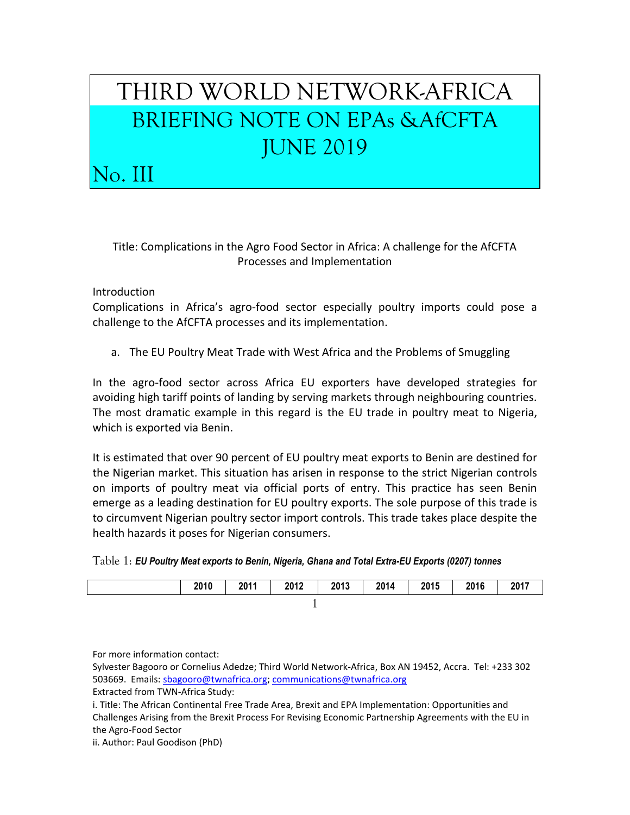## THIRD WORLD NETWORK-AFRICA BRIEFING NOTE ON EPAs &AfCFTA JUNE 2019

Title: Complications in the Agro Food Sector in Africa: A challenge for the AfCFTA Processes and Implementation

Introduction

No. III

Complications in Africa's agro-food sector especially poultry imports could pose a challenge to the AfCFTA processes and its implementation.

a. The EU Poultry Meat Trade with West Africa and the Problems of Smuggling

In the agro-food sector across Africa EU exporters have developed strategies for avoiding high tariff points of landing by serving markets through neighbouring countries. The most dramatic example in this regard is the EU trade in poultry meat to Nigeria, which is exported via Benin.

It is estimated that over 90 percent of EU poultry meat exports to Benin are destined for the Nigerian market. This situation has arisen in response to the strict Nigerian controls on imports of poultry meat via official ports of entry. This practice has seen Benin emerge as a leading destination for EU poultry exports. The sole purpose of this trade is to circumvent Nigerian poultry sector import controls. This trade takes place despite the health hazards it poses for Nigerian consumers.

| $Table 1:$ EU Poultry Meat exports to Benin, Nigeria, Ghana and Total Extra-EU Exports (0207) tonnes |  |  |
|------------------------------------------------------------------------------------------------------|--|--|
|------------------------------------------------------------------------------------------------------|--|--|

| 2010 | 2011 | 2012 | 2013 | 2014 | 2015 | 2016 | 2017 |
|------|------|------|------|------|------|------|------|
|      |      |      |      |      |      |      |      |

For more information contact:

Sylvester Bagooro or Cornelius Adedze; Third World Network-Africa, Box AN 19452, Accra. Tel: +233 302 503669. Emails: [sbagooro@twnafrica.org;](mailto:sbagooro@twnafrica.org) [communications@twnafrica.org](mailto:communications@twnafrica.org)

Extracted from TWN-Africa Study:

i. Title: The African Continental Free Trade Area, Brexit and EPA Implementation: Opportunities and Challenges Arising from the Brexit Process For Revising Economic Partnership Agreements with the EU in the Agro-Food Sector

ii. Author: Paul Goodison (PhD)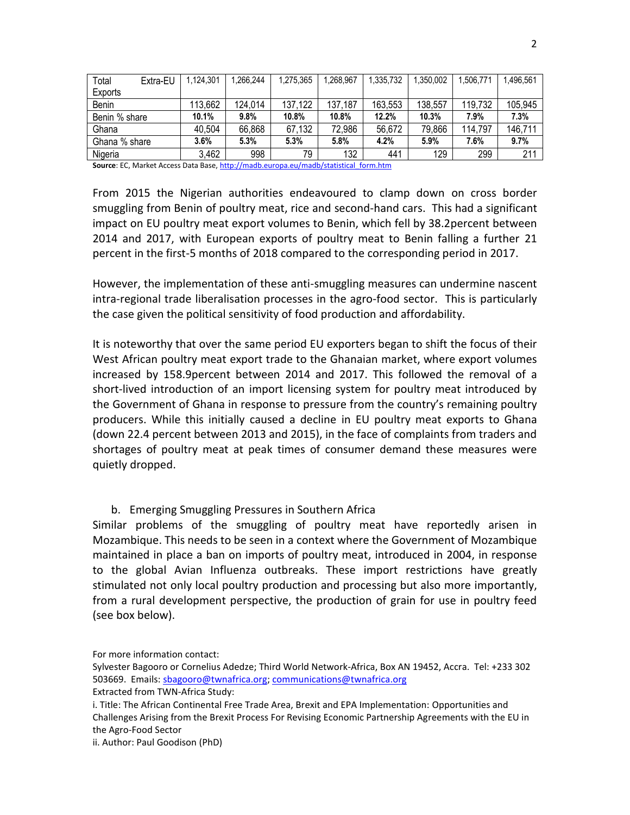| Total         | Extra-EU | 1.124.301 | 1.266.244 | 1,275,365 | .268.967 | 1,335,732 | .350.002 | .506.771 | 1.496.561    |
|---------------|----------|-----------|-----------|-----------|----------|-----------|----------|----------|--------------|
| Exports       |          |           |           |           |          |           |          |          |              |
| Benin         |          | 113,662   | 124.014   | 137,122   | 137,187  | 163,553   | 138,557  | 119,732  | 105,945      |
| Benin % share |          | 10.1%     | 9.8%      | 10.8%     | 10.8%    | 12.2%     | 10.3%    | 7.9%     | 7.3%         |
| Ghana         |          | 40,504    | 66.868    | 67,132    | 72,986   | 56,672    | 79.866   | 114.797  | 146,711      |
| Ghana % share |          | 3.6%      | 5.3%      | 5.3%      | 5.8%     | 4.2%      | 5.9%     | 7.6%     | 9.7%         |
| Nigeria       |          | 3,462     | 998       | 79        | 132      | 441       | 129      | 299      | $21^{\circ}$ |

Source: EC, Market Access Data Base[, http://madb.europa.eu/madb/statistical\\_form.htm](http://madb.europa.eu/madb/statistical_form.htm)

From 2015 the Nigerian authorities endeavoured to clamp down on cross border smuggling from Benin of poultry meat, rice and second-hand cars. This had a significant impact on EU poultry meat export volumes to Benin, which fell by 38.2percent between 2014 and 2017, with European exports of poultry meat to Benin falling a further 21 percent in the first-5 months of 2018 compared to the corresponding period in 2017.

However, the implementation of these anti-smuggling measures can undermine nascent intra-regional trade liberalisation processes in the agro-food sector. This is particularly the case given the political sensitivity of food production and affordability.

It is noteworthy that over the same period EU exporters began to shift the focus of their West African poultry meat export trade to the Ghanaian market, where export volumes increased by 158.9percent between 2014 and 2017. This followed the removal of a short-lived introduction of an import licensing system for poultry meat introduced by the Government of Ghana in response to pressure from the country's remaining poultry producers. While this initially caused a decline in EU poultry meat exports to Ghana (down 22.4 percent between 2013 and 2015), in the face of complaints from traders and shortages of poultry meat at peak times of consumer demand these measures were quietly dropped.

## b. Emerging Smuggling Pressures in Southern Africa

Similar problems of the smuggling of poultry meat have reportedly arisen in Mozambique. This needs to be seen in a context where the Government of Mozambique maintained in place a ban on imports of poultry meat, introduced in 2004, in response to the global Avian Influenza outbreaks. These import restrictions have greatly stimulated not only local poultry production and processing but also more importantly, from a rural development perspective, the production of grain for use in poultry feed (see box below).

For more information contact:

ii. Author: Paul Goodison (PhD)

Sylvester Bagooro or Cornelius Adedze; Third World Network-Africa, Box AN 19452, Accra. Tel: +233 302 503669. Emails: [sbagooro@twnafrica.org;](mailto:sbagooro@twnafrica.org) [communications@twnafrica.org](mailto:communications@twnafrica.org) Extracted from TWN-Africa Study:

i. Title: The African Continental Free Trade Area, Brexit and EPA Implementation: Opportunities and Challenges Arising from the Brexit Process For Revising Economic Partnership Agreements with the EU in the Agro-Food Sector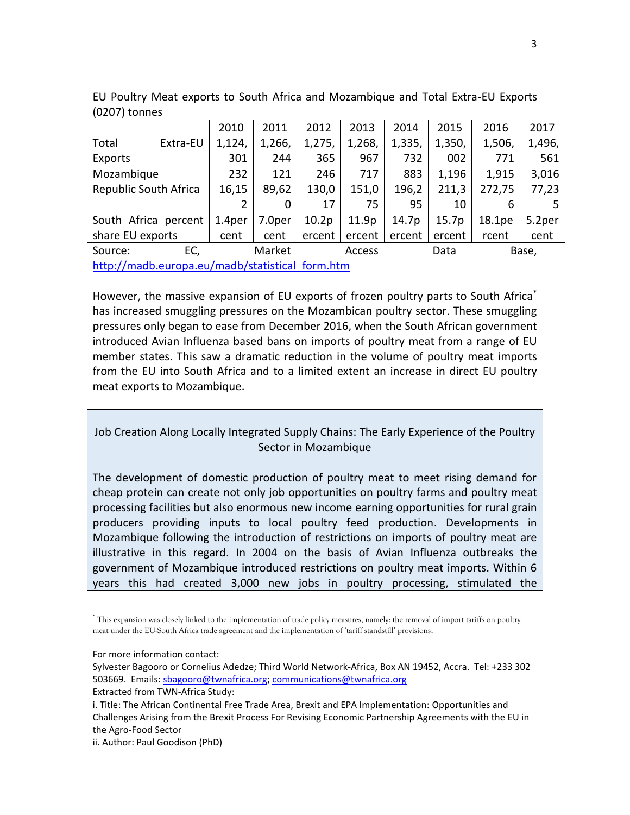|                                                 |          | 2010   | 2011   | 2012   | 2013   | 2014   | 2015   | 2016   | 2017   |
|-------------------------------------------------|----------|--------|--------|--------|--------|--------|--------|--------|--------|
| Total                                           | Extra-EU | 1,124, | 1,266, | 1,275, | 1,268, | 1,335, | 1,350, | 1,506, | 1,496, |
| Exports                                         |          | 301    | 244    | 365    | 967    | 732    | 002    | 771    | 561    |
| Mozambique                                      |          | 232    | 121    | 246    | 717    | 883    | 1,196  | 1,915  | 3,016  |
| Republic South Africa                           |          | 16,15  | 89,62  | 130,0  | 151,0  | 196,2  | 211,3  | 272,75 | 77,23  |
|                                                 |          | 2      | 0      | 17     | 75     | 95     | 10     | 6      |        |
| South Africa percent                            |          | 1.4per | 7.0per | 10.2p  | 11.9p  | 14.7p  | 15.7p  | 18.1pe | 5.2per |
| share EU exports                                |          | cent   | cent   | ercent | ercent | ercent | ercent | rcent  | cent   |
| Source:                                         | EC,      |        | Market |        | Access |        | Data   |        | Base,  |
| http://madb.europa.eu/madb/statistical form.htm |          |        |        |        |        |        |        |        |        |

EU Poultry Meat exports to South Africa and Mozambique and Total Extra-EU Exports (0207) tonnes

However, the massive expansion of EU exports of frozen poultry parts to South Africa<sup>\*</sup> has increased smuggling pressures on the Mozambican poultry sector. These smuggling pressures only began to ease from December 2016, when the South African government introduced Avian Influenza based bans on imports of poultry meat from a range of EU member states. This saw a dramatic reduction in the volume of poultry meat imports from the EU into South Africa and to a limited extent an increase in direct EU poultry meat exports to Mozambique.

## Job Creation Along Locally Integrated Supply Chains: The Early Experience of the Poultry Sector in Mozambique

The development of domestic production of poultry meat to meet rising demand for cheap protein can create not only job opportunities on poultry farms and poultry meat processing facilities but also enormous new income earning opportunities for rural grain producers providing inputs to local poultry feed production. Developments in Mozambique following the introduction of restrictions on imports of poultry meat are illustrative in this regard. In 2004 on the basis of Avian Influenza outbreaks the government of Mozambique introduced restrictions on poultry meat imports. Within 6 years this had created 3,000 new jobs in poultry processing, stimulated the

 $\overline{a}$ 

<sup>\*</sup> This expansion was closely linked to the implementation of trade policy measures, namely: the removal of import tariffs on poultry meat under the EU-South Africa trade agreement and the implementation of 'tariff standstill' provisions.

For more information contact:

Sylvester Bagooro or Cornelius Adedze; Third World Network-Africa, Box AN 19452, Accra. Tel: +233 302 503669. Emails: [sbagooro@twnafrica.org;](mailto:sbagooro@twnafrica.org) [communications@twnafrica.org](mailto:communications@twnafrica.org) Extracted from TWN-Africa Study:

i. Title: The African Continental Free Trade Area, Brexit and EPA Implementation: Opportunities and Challenges Arising from the Brexit Process For Revising Economic Partnership Agreements with the EU in the Agro-Food Sector

ii. Author: Paul Goodison (PhD)